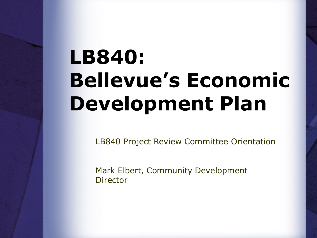# **LB840: Bellevue's Economic Development Plan**

LB840 Project Review Committee Orientation

Mark Elbert, Community Development Director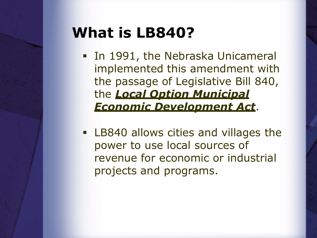#### **What is LB840?**

- **.** In 1991, the Nebraska Unicameral implemented this amendment with the passage of Legislative Bill 840, the *Local Option Municipal Economic Development Act*.
- LB840 allows cities and villages the power to use local sources of revenue for economic or industrial projects and programs.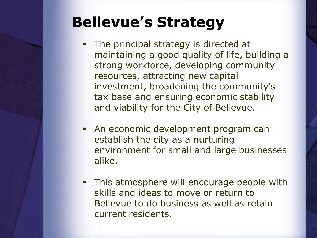## **Bellevue's Strategy**

- The principal strategy is directed at maintaining a good quality of life, building a strong workforce, developing community resources, attracting new capital investment, broadening the community's tax base and ensuring economic stability and viability for the City of Bellevue.
- An economic development program can establish the city as a nurturing environment for small and large businesses alike.
- **This atmosphere will encourage people with** skills and ideas to move or return to Bellevue to do business as well as retain current residents.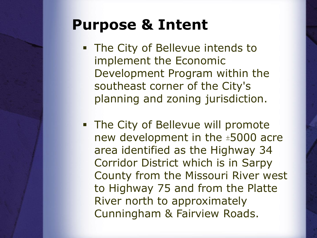#### **Purpose & Intent**

- **.** The City of Bellevue intends to implement the Economic Development Program within the southeast corner of the City's planning and zoning jurisdiction.
- **EXTE:** The City of Bellevue will promote new development in the  $±5000$  acre area identified as the Highway 34 Corridor District which is in Sarpy County from the Missouri River west to Highway 75 and from the Platte River north to approximately Cunningham & Fairview Roads.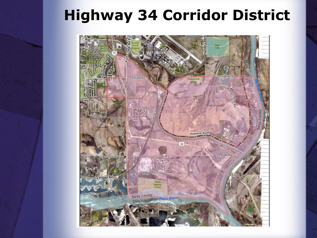### **Highway 34 Corridor District**

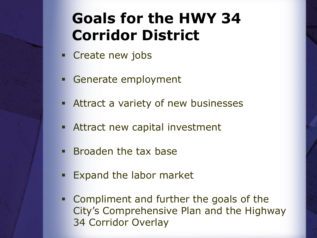## **Goals for the HWY 34 Corridor District**

- **Exercise EXET** Create new jobs
- Generate employment
- **EXECUTE:** Attract a variety of new businesses
- **EXECUTE: Attract new capital investment**
- **Example 1 Broaden the tax base**
- **Expand the labor market**
- **Example 1 Compliment and further the goals of the** City's Comprehensive Plan and the Highway 34 Corridor Overlay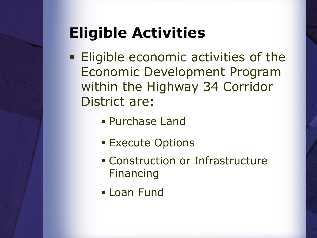# **Eligible Activities**

- **Eligible economic activities of the** Economic Development Program within the Highway 34 Corridor District are:
	- Purchase Land
	- **Execute Options**
	- Construction or Infrastructure Financing
	- **ELoan Fund**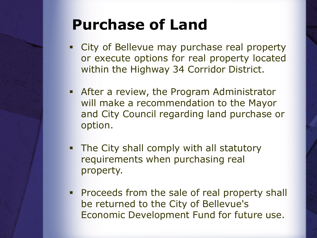### **Purchase of Land**

- **City of Bellevue may purchase real property** or execute options for real property located within the Highway 34 Corridor District.
- **EXP** After a review, the Program Administrator will make a recommendation to the Mayor and City Council regarding land purchase or option.
- **The City shall comply with all statutory** requirements when purchasing real property.
- **Proceeds from the sale of real property shall** be returned to the City of Bellevue's Economic Development Fund for future use.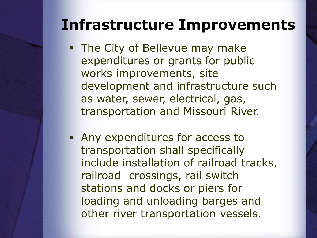#### **Infrastructure Improvements**

- **.** The City of Bellevue may make expenditures or grants for public works improvements, site development and infrastructure such as water, sewer, electrical, gas, transportation and Missouri River.
- **EXPENDITURE:** Any expenditures for access to transportation shall specifically include installation of railroad tracks, railroad crossings, rail switch stations and docks or piers for loading and unloading barges and other river transportation vessels.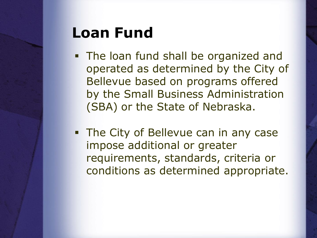#### **Loan Fund**

- **The loan fund shall be organized and** operated as determined by the City of Bellevue based on programs offered by the Small Business Administration (SBA) or the State of Nebraska.
- **The City of Bellevue can in any case** impose additional or greater requirements, standards, criteria or conditions as determined appropriate.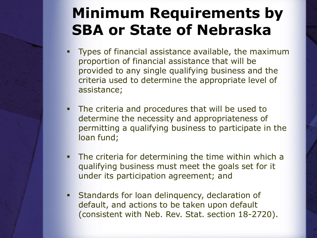## **Minimum Requirements by SBA or State of Nebraska**

- Types of financial assistance available, the maximum proportion of financial assistance that will be provided to any single qualifying business and the criteria used to determine the appropriate level of assistance;
- The criteria and procedures that will be used to determine the necessity and appropriateness of permitting a qualifying business to participate in the loan fund;
- The criteria for determining the time within which a qualifying business must meet the goals set for it under its participation agreement; and
- **EXECUTE:** Standards for loan delinquency, declaration of default, and actions to be taken upon default (consistent with Neb. Rev. Stat. section 18-2720).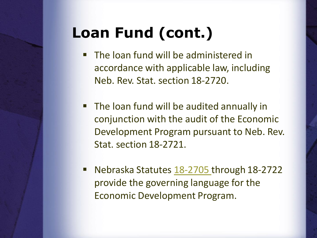# **Loan Fund (cont.)**

- The loan fund will be administered in accordance with applicable law, including Neb. Rev. Stat. section 18-2720.
- The loan fund will be audited annually in conjunction with the audit of the Economic Development Program pursuant to Neb. Rev. Stat. section 18-2721.
- Nebraska Statutes [18-2705](http://nebraskalegislature.gov/laws/statutes.php?statute=18-2705) through 18-2722 provide the governing language for the Economic Development Program.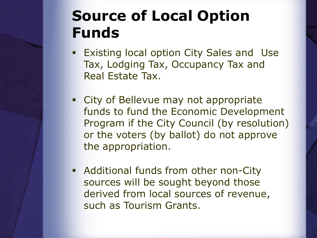## **Source of Local Option Funds**

- **Existing local option City Sales and Use** Tax, Lodging Tax, Occupancy Tax and Real Estate Tax.
- City of Bellevue may not appropriate funds to fund the Economic Development Program if the City Council (by resolution) or the voters (by ballot) do not approve the appropriation.
- **EXEDENT Additional funds from other non-City** sources will be sought beyond those derived from local sources of revenue, such as Tourism Grants.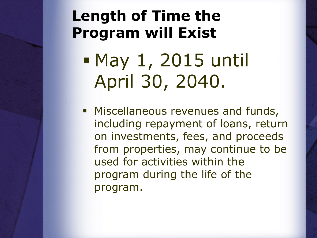### **Length of Time the Program will Exist**

▪ May 1, 2015 until April 30, 2040.

**■ Miscellaneous revenues and funds,** including repayment of loans, return on investments, fees, and proceeds from properties, may continue to be used for activities within the program during the life of the program.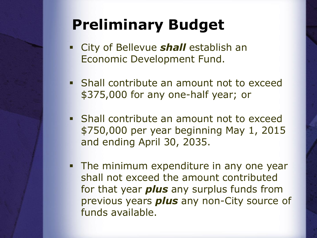## **Preliminary Budget**

- City of Bellevue *shall* establish an Economic Development Fund.
- **EXECT:** Shall contribute an amount not to exceed \$375,000 for any one-half year; or
- **EXECT** Shall contribute an amount not to exceed \$750,000 per year beginning May 1, 2015 and ending April 30, 2035.
- **The minimum expenditure in any one year** shall not exceed the amount contributed for that year *plus* any surplus funds from previous years *plus* any non-City source of funds available.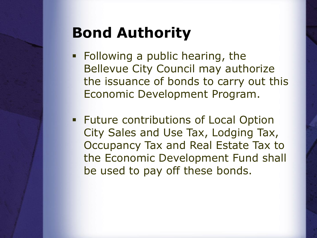## **Bond Authority**

- **EXEL Following a public hearing, the** Bellevue City Council may authorize the issuance of bonds to carry out this Economic Development Program.
- **EXECUTE:** Future contributions of Local Option City Sales and Use Tax, Lodging Tax, Occupancy Tax and Real Estate Tax to the Economic Development Fund shall be used to pay off these bonds.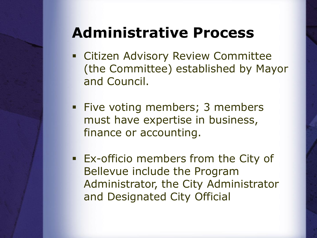#### **Administrative Process**

- **EXECTED Advisory Review Committee** (the Committee) established by Mayor and Council.
- **Eive voting members; 3 members** must have expertise in business, finance or accounting.
- **EX-officio members from the City of** Bellevue include the Program Administrator, the City Administrator and Designated City Official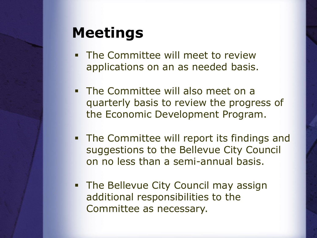#### **Meetings**

- **The Committee will meet to review** applications on an as needed basis.
- **The Committee will also meet on a** quarterly basis to review the progress of the Economic Development Program.
- **The Committee will report its findings and** suggestions to the Bellevue City Council on no less than a semi-annual basis.
- **The Bellevue City Council may assign** additional responsibilities to the Committee as necessary.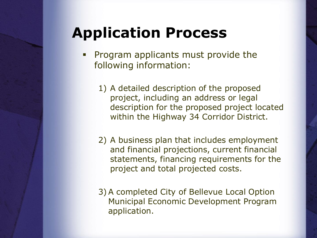## **Application Process**

- Program applicants must provide the following information:
	- 1) A detailed description of the proposed project, including an address or legal description for the proposed project located within the Highway 34 Corridor District.
	- 2) A business plan that includes employment and financial projections, current financial statements, financing requirements for the project and total projected costs.
	- 3)A completed City of Bellevue Local Option Municipal Economic Development Program application.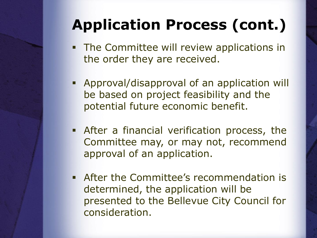# **Application Process (cont.)**

- **The Committee will review applications in** the order they are received.
- Approval/disapproval of an application will be based on project feasibility and the potential future economic benefit.
- **EXECTE:** After a financial verification process, the Committee may, or may not, recommend approval of an application.
- **EXEC** After the Committee's recommendation is determined, the application will be presented to the Bellevue City Council for consideration.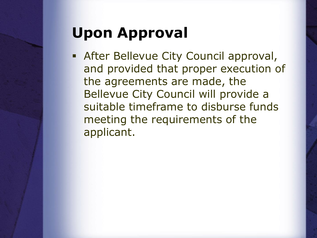# **Upon Approval**

**EXECT:** After Bellevue City Council approval, and provided that proper execution of the agreements are made, the Bellevue City Council will provide a suitable timeframe to disburse funds meeting the requirements of the applicant.